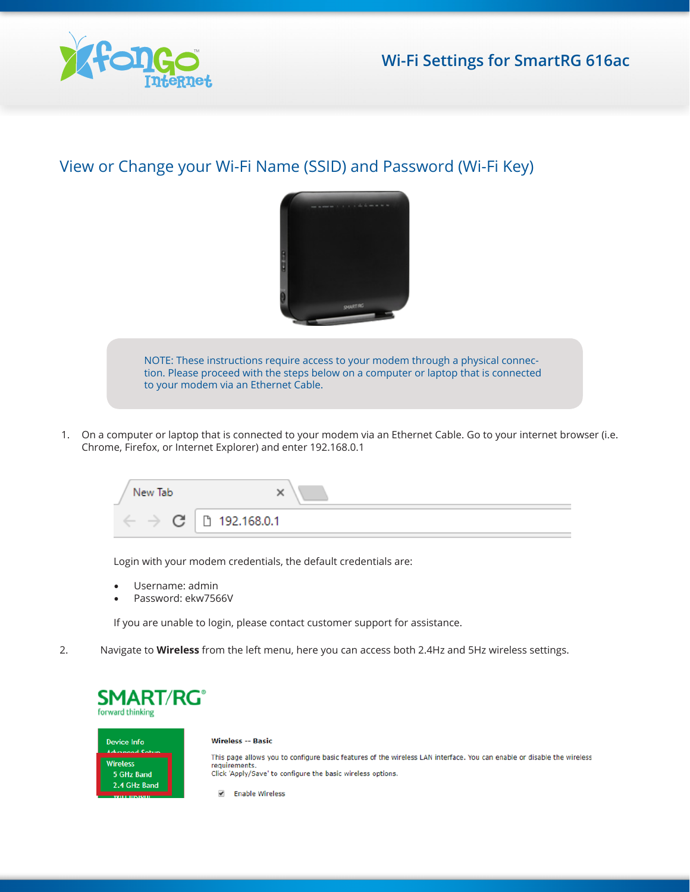

## View or Change your Wi-Fi Name (SSID) and Password (Wi-Fi Key)



NOTE: These instructions require access to your modem through a physical connection. Please proceed with the steps below on a computer or laptop that is connected to your modem via an Ethernet Cable.

1. On a computer or laptop that is connected to your modem via an Ethernet Cable. Go to your internet browser (i.e. Chrome, Firefox, or Internet Explorer) and enter 192.168.0.1

| New Tab<br>$\sim$ |               |
|-------------------|---------------|
| Œ                 | □ 192.168.0.1 |

Login with your modem credentials, the default credentials are:

- Username: admin
- Password: ekw7566V

If you are unable to login, please contact customer support for assistance.

2. Navigate to **Wireless** from the left menu, here you can access both 2.4Hz and 5Hz wireless settings.

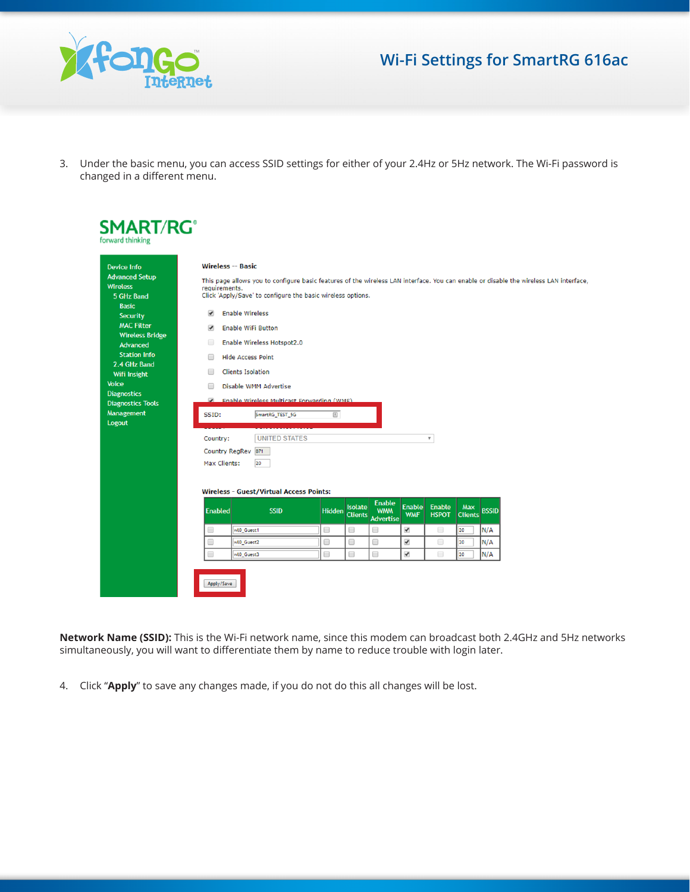

## **Wi-Fi Settings for SmartRG 616ac**

3. Under the basic menu, you can access SSID settings for either of your 2.4Hz or 5Hz network. The Wi-Fi password is changed in a different menu.

| <b>Device Info</b>                                                     | <b>Wireless -- Basic</b><br>This page allows you to configure basic features of the wireless LAN interface. You can enable or disable the wireless LAN interface,<br>requirements.<br>Click 'Apply/Save' to configure the basic wireless options.<br><b>Enable Wireless</b><br>$\overline{\mathcal{L}}$<br><b>Security</b><br><b>Enable WiFi Button</b><br>$\overline{\mathbf{v}}$ |                                                      |               |                |                                                  |                             |                               |                       |              |  |
|------------------------------------------------------------------------|------------------------------------------------------------------------------------------------------------------------------------------------------------------------------------------------------------------------------------------------------------------------------------------------------------------------------------------------------------------------------------|------------------------------------------------------|---------------|----------------|--------------------------------------------------|-----------------------------|-------------------------------|-----------------------|--------------|--|
| <b>Advanced Setup</b><br><b>Wireless</b><br>5 GHz Band<br><b>Basic</b> |                                                                                                                                                                                                                                                                                                                                                                                    |                                                      |               |                |                                                  |                             |                               |                       |              |  |
| <b>MAC Filter</b>                                                      |                                                                                                                                                                                                                                                                                                                                                                                    |                                                      |               |                |                                                  |                             |                               |                       |              |  |
| <b>Wireless Bridge</b><br>Advanced                                     | $\Box$                                                                                                                                                                                                                                                                                                                                                                             | Enable Wireless Hotspot2.0                           |               |                |                                                  |                             |                               |                       |              |  |
| <b>Station Info</b>                                                    | □                                                                                                                                                                                                                                                                                                                                                                                  | <b>Hide Access Point</b>                             |               |                |                                                  |                             |                               |                       |              |  |
| 2.4 GHz Band                                                           |                                                                                                                                                                                                                                                                                                                                                                                    |                                                      |               |                |                                                  |                             |                               |                       |              |  |
| Wifi Insight                                                           |                                                                                                                                                                                                                                                                                                                                                                                    | <b>Clients Isolation</b><br>⊟                        |               |                |                                                  |                             |                               |                       |              |  |
| <b>Voice</b>                                                           | Disable WMM Advertise<br>□                                                                                                                                                                                                                                                                                                                                                         |                                                      |               |                |                                                  |                             |                               |                       |              |  |
| <b>Diagnostics</b><br><b>Diagnostics Tools</b>                         |                                                                                                                                                                                                                                                                                                                                                                                    | <b>Enable Wireless Multicast Forwarding (WMF)</b>    |               |                |                                                  |                             |                               |                       |              |  |
| <b>Management</b><br>Logout                                            | $\boxed{\underline{\hbar}}$<br>SmartRG_TEST_5G<br>SSID:                                                                                                                                                                                                                                                                                                                            |                                                      |               |                |                                                  |                             |                               |                       |              |  |
|                                                                        | Country:                                                                                                                                                                                                                                                                                                                                                                           | <b>UNITED STATES</b>                                 |               |                |                                                  |                             | $\overline{\mathbf{v}}$       |                       |              |  |
|                                                                        | Country RegRev 871                                                                                                                                                                                                                                                                                                                                                                 |                                                      |               |                |                                                  |                             |                               |                       |              |  |
|                                                                        | Max Clients:                                                                                                                                                                                                                                                                                                                                                                       | 20<br><b>Wireless - Guest/Virtual Access Points:</b> |               |                |                                                  |                             |                               |                       |              |  |
|                                                                        | <b>Enabled</b>                                                                                                                                                                                                                                                                                                                                                                     | <b>SSID</b>                                          | <b>Hidden</b> | <b>Isolate</b> | <b>Enable</b><br><b>WMM</b><br>Clients Advertise | <b>Enable</b><br><b>WMF</b> | <b>Enable</b><br><b>HSPOT</b> | Max<br><b>Clients</b> | <b>BSSID</b> |  |
|                                                                        | $\Box$                                                                                                                                                                                                                                                                                                                                                                             | wt0_Guest1                                           | 0             | $\Box$         | 0                                                | $\blacktriangledown$        | $\Box$                        | 20                    | N/A          |  |
|                                                                        | $\Box$                                                                                                                                                                                                                                                                                                                                                                             | wl0_Guest2                                           | 0             | □              | 0                                                | ✔                           | $\Box$                        | 20                    | N/A          |  |
|                                                                        |                                                                                                                                                                                                                                                                                                                                                                                    |                                                      |               |                |                                                  |                             |                               |                       |              |  |

**Network Name (SSID):** This is the Wi-Fi network name, since this modem can broadcast both 2.4GHz and 5Hz networks simultaneously, you will want to differentiate them by name to reduce trouble with login later.

4. Click "**Apply**" to save any changes made, if you do not do this all changes will be lost.